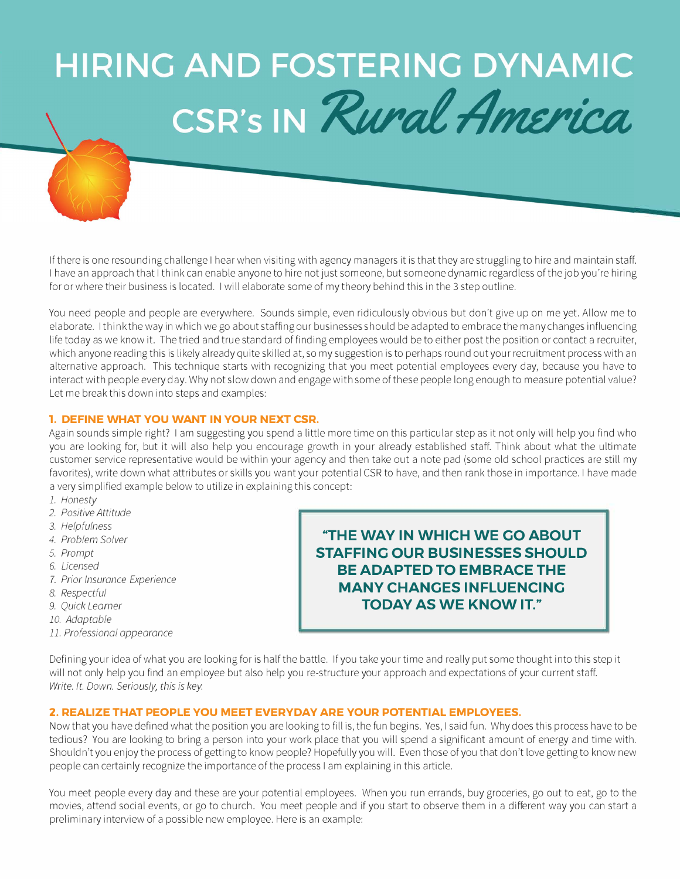# **HIRING AND FOSTERING DYNAMIC** CSR's IN Rural America

If there is one resounding challenge I hear when visiting with agency managers it is that they are struggling to hire and maintain staff. I have an approach that I think can enable anyone to hire not just someone, but someone dynamic regardless of the job you're hiring for or where their business is located. I will elaborate some of my theory behind this in the 3 step outline.

You need people and people are everywhere. Sounds simple, even ridiculously obvious but don't give up on me yet. Allow me to elaborate. I think the way in which we go about staffing our businesses should be adapted to embrace the many changes influencing life today as we know it. The tried and true standard of finding employees wou Id be to either post the position or contact a recruiter, which anyone reading this is likely already quite skilled at, so my suggestion is to perhaps round out your recruitment process with an alternative approach. This technique starts with recognizing that you meet potential employees every day, because you have to interact with people every day. Why not slow down and engage with some of these people long enough to measure potential value? Let me break this down into steps and examples:

## **1. DEFINE WHAT YOU WANT IN YOUR NEXT CSR.**

Again sounds simple right? I am suggesting you spend a little more time on this particular step as it not only will help you find who you are looking for, but it will also help you encourage growth in your already established staff. Think about what the ultimate customer service representative would be within your agency and then take out a note pad (some old school practices are still my favorites), write down what attributes or skills you want your potential CSR to have, and then rank those in importance. I have made a very simplified example below to utilize in explaining this concept:

- *1. Honesty*
- 2. *Positive Attitude*
- *3. Helpfulness*
- *4. Problem Solver*
- *5. Prompt*
- 6. *Licensed*
- *7. Prior Insurance Experience*
- *8. Respectful*
- *9. Quick Learner*
- *10. Adoptable*
- *11. Professional appearance*

**''THE WAY IN WHICH WE GO ABOUT STAFFING OUR BUSINESSES SHOULD BE ADAPTED TO EMBRACE THE MANY CHANGES INFLUENCING TODAY AS WE KNOW IT."** 

Defining your idea of what you are looking for is half the battle. If you take your time and really put some thought into this step it will not only help you find an employee but also help you re-structure your approach and expectations of your current staff. *Write. It. Down. Seriously, this is key.* 

## **2. REALIZE THAT PEOPLE YOU MEET EVERYDAY ARE YOUR POTENTIAL EMPLOYEES.**

Now that you have defined what the position you are looking to fill is, the fun begins. Yes, I said fun. Why does this process have to be tedious? You are looking to bring a person into your work place that you will spend a significant amount of energy and time with. Shouldn't you enjoy the process of getting to know people? Hopefully you will. Even those of you that don't love getting to know new people can certainly recognize the importance of the process I am explaining in this article.

You meet people every day and these are your potential employees. When you run errands, buy groceries, go out to eat, go to the movies, attend social events, or go to church. You meet people and if you start to observe them in a different way you can start a preliminary interview of a possible new employee. Here is an example: